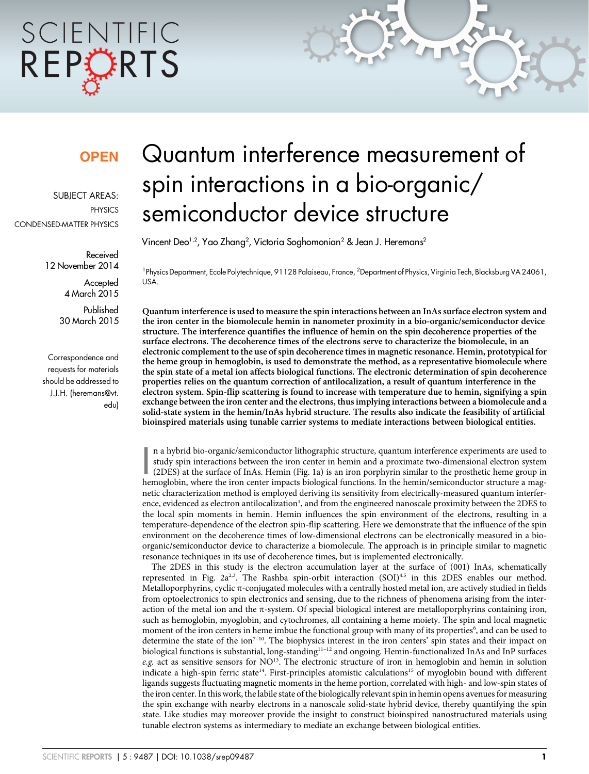# SCIENTIFIC REPCRTS

### **OPEN**

SUBJECT AREAS: PHYSICS CONDENSED-MATTER PHYSICS

> Received 12 November 2014

> > **Accepted** 4 March 2015

Published 30 March 2015

Correspondence and requests for materials should be addressed to J.J.H. [\(heremans@vt.](mailto:heremans@vt.edu) [edu\)](mailto:heremans@vt.edu)

## Quantum interference measurement of spin interactions in a bio-organic/ semiconductor device structure

Vincent Deo $^{1,2}$ , Yao Zhang $^{2}$ , Victoria Soghomonian $^{2}$  & Jean J. Heremans $^{2}$ 

<sup>1</sup> Physics Department, Ecole Polytechnique, 91128 Palaiseau, France, <sup>2</sup> Department of Physics, Virginia Tech, Blacksburg VA 24061, USA.

Quantum interference is used to measure the spin interactions between an InAs surface electron system and the iron center in the biomolecule hemin in nanometer proximity in a bio-organic/semiconductor device structure. The interference quantifies the influence of hemin on the spin decoherence properties of the surface electrons. The decoherence times of the electrons serve to characterize the biomolecule, in an electronic complement to the use of spin decoherence times in magnetic resonance. Hemin, prototypical for the heme group in hemoglobin, is used to demonstrate the method, as a representative biomolecule where the spin state of a metal ion affects biological functions. The electronic determination of spin decoherence properties relies on the quantum correction of antilocalization, a result of quantum interference in the electron system. Spin-flip scattering is found to increase with temperature due to hemin, signifying a spin exchange between the iron center and the electrons, thus implying interactions between a biomolecule and a solid-state system in the hemin/InAs hybrid structure. The results also indicate the feasibility of artificial bioinspired materials using tunable carrier systems to mediate interactions between biological entities.

n a hybrid bio-organic/semiconductor lithographic structure, quantum interference experiments are used to study spin interactions between the iron center in hemin and a proximate two-dimensional electron system (2DES) at t n a hybrid bio-organic/semiconductor lithographic structure, quantum interference experiments are used to study spin interactions between the iron center in hemin and a proximate two-dimensional electron system (2DES) at the surface of InAs. Hemin (Fig. 1a) is an iron porphyrin similar to the prosthetic heme group in netic characterization method is employed deriving its sensitivity from electrically-measured quantum interference, evidenced as electron antilocalization<sup>1</sup>, and from the engineered nanoscale proximity between the 2DES to the local spin moments in hemin. Hemin influences the spin environment of the electrons, resulting in a temperature-dependence of the electron spin-flip scattering. Here we demonstrate that the influence of the spin environment on the decoherence times of low-dimensional electrons can be electronically measured in a bioorganic/semiconductor device to characterize a biomolecule. The approach is in principle similar to magnetic resonance techniques in its use of decoherence times, but is implemented electronically.

The 2DES in this study is the electron accumulation layer at the surface of (001) InAs, schematically represented in Fig.  $2a^{2,3}$ . The Rashba spin-orbit interaction (SOI)<sup>4,5</sup> in this 2DES enables our method. Metalloporphyrins, cyclic  $\pi$ -conjugated molecules with a centrally hosted metal ion, are actively studied in fields from optoelectronics to spin electronics and sensing, due to the richness of phenomena arising from the interaction of the metal ion and the  $\pi$ -system. Of special biological interest are metalloporphyrins containing iron, such as hemoglobin, myoglobin, and cytochromes, all containing a heme moiety. The spin and local magnetic moment of the iron centers in heme imbue the functional group with many of its properties<sup>6</sup>, and can be used to determine the state of the ion<sup> $7-10$ </sup>. The biophysics interest in the iron centers' spin states and their impact on biological functions is substantial, long-standing<sup>11-12</sup> and ongoing. Hemin-functionalized InAs and InP surfaces e.g. act as sensitive sensors for  $NO^{13}$ . The electronic structure of iron in hemoglobin and hemin in solution indicate a high-spin ferric state<sup>14</sup>. First-principles atomistic calculations<sup>15</sup> of myoglobin bound with different ligands suggests fluctuating magnetic moments in the heme portion, correlated with high- and low-spin states of the iron center. In this work, the labile state of the biologically relevant spin in hemin opens avenues for measuring the spin exchange with nearby electrons in a nanoscale solid-state hybrid device, thereby quantifying the spin state. Like studies may moreover provide the insight to construct bioinspired nanostructured materials using tunable electron systems as intermediary to mediate an exchange between biological entities.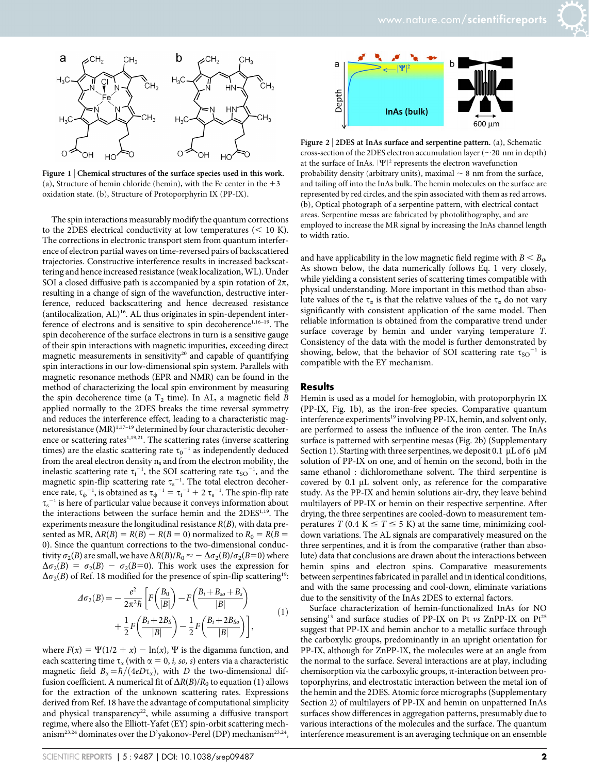

Figure 1 | Chemical structures of the surface species used in this work. (a), Structure of hemin chloride (hemin), with the Fe center in the  $+3$ oxidation state. (b), Structure of Protoporphyrin IX (PP-IX).

The spin interactions measurably modify the quantum corrections to the 2DES electrical conductivity at low temperatures  $(< 10 K)$ . The corrections in electronic transport stem from quantum interference of electron partial waves on time-reversed pairs of backscattered trajectories. Constructive interference results in increased backscattering and hence increased resistance (weak localization, WL). Under SOI a closed diffusive path is accompanied by a spin rotation of  $2\pi$ , resulting in a change of sign of the wavefunction, destructive interference, reduced backscattering and hence decreased resistance (antilocalization,  $AL$ )<sup>16</sup>. AL thus originates in spin-dependent interference of electrons and is sensitive to spin decoherence<sup>1,16-19</sup>. The spin decoherence of the surface electrons in turn is a sensitive gauge of their spin interactions with magnetic impurities, exceeding direct magnetic measurements in sensitivity<sup>20</sup> and capable of quantifying spin interactions in our low-dimensional spin system. Parallels with magnetic resonance methods (EPR and NMR) can be found in the method of characterizing the local spin environment by measuring the spin decoherence time (a  $T_2$  time). In AL, a magnetic field  $\overline{B}$ applied normally to the 2DES breaks the time reversal symmetry and reduces the interference effect, leading to a characteristic magnetoresistance (MR)<sup>1,17-19</sup> determined by four characteristic decoherence or scattering rates<sup>1,19,21</sup>. The scattering rates (inverse scattering times) are the elastic scattering rate  $\tau_0^{-1}$  as independently deduced from the areal electron density  $n_s$  and from the electron mobility, the inelastic scattering rate  $\tau_i^{-1}$ , the SOI scattering rate  $\tau_{SO}^{-1}$ , and the magnetic spin-flip scattering rate  $\tau_s^{-1}$ . The total electron decoherence rate,  $\tau_{\phi}^{-1}$ , is obtained as  $\tau_{\phi}^{-1} = \tau_i^{-1} + 2 \tau_s^{-1}$ . The spin-flip rate  $\tau_{\rm s}^{-1}$  is here of particular value because it conveys information about the interactions between the surface hemin and the 2DES<sup>1,19</sup>. The experiments measure the longitudinal resistance  $R(B)$ , with data presented as MR,  $\Delta R(B) = R(B) - R(B = 0)$  normalized to  $R_0 = R(B = 0)$ 0). Since the quantum corrections to the two-dimensional conductivity  $\sigma_2(B)$  are small, we have  $\Delta R(B)/R_0 \approx -\Delta \sigma_2(B)/\sigma_2(B=0)$  where  $\Delta \sigma_2(B) = \sigma_2(B) - \sigma_2(B=0)$ . This work uses the expression for  $\Delta\sigma_2(B)$  of Ref. 18 modified for the presence of spin-flip scattering<sup>19</sup>:

$$
\Delta \sigma_2(B) = -\frac{e^2}{2\pi^2 \hbar} \left[ F\left(\frac{B_0}{|B|}\right) - F\left(\frac{B_i + B_{so} + B_s}{|B|}\right) + \frac{1}{2} F\left(\frac{B_i + 2B_S}{|B|}\right) - \frac{1}{2} F\left(\frac{B_i + 2B_{So}}{|B|}\right) \right],
$$
\n(1)

where  $F(x) = \Psi(1/2 + x) - \ln(x)$ ,  $\Psi$  is the digamma function, and each scattering time  $\tau_{\alpha}$  (with  $\alpha = 0, i, so, s$ ) enters via a characteristic magnetic field  $B_{\alpha} = \hbar/(4eD\tau_{\alpha})$ , with D the two-dimensional diffusion coefficient. A numerical fit of  $\Delta R(B)/R_0$  to equation (1) allows for the extraction of the unknown scattering rates. Expressions derived from Ref. 18 have the advantage of computational simplicity and physical transparency<sup>22</sup>, while assuming a diffusive transport regime, where also the Elliott-Yafet (EY) spin-orbit scattering mechanism<sup>23,24</sup> dominates over the D'yakonov-Perel (DP) mechanism<sup>23,24</sup>,



Figure 2 | 2DES at InAs surface and serpentine pattern. (a), Schematic cross-section of the 2DES electron accumulation layer ( $\sim$ 20 nm in depth) at the surface of InAs.  $|\Psi|^2$  represents the electron wavefunction probability density (arbitrary units), maximal  $\sim$  8 nm from the surface, and tailing off into the InAs bulk. The hemin molecules on the surface are represented by red circles, and the spin associated with them as red arrows. (b), Optical photograph of a serpentine pattern, with electrical contact areas. Serpentine mesas are fabricated by photolithography, and are employed to increase the MR signal by increasing the InAs channel length to width ratio.

and have applicability in the low magnetic field regime with  $B < B_0$ . As shown below, the data numerically follows Eq. 1 very closely, while yielding a consistent series of scattering times compatible with physical understanding. More important in this method than absolute values of the  $\tau_{\alpha}$  is that the relative values of the  $\tau_{\alpha}$  do not vary significantly with consistent application of the same model. Then reliable information is obtained from the comparative trend under surface coverage by hemin and under varying temperature T. Consistency of the data with the model is further demonstrated by showing, below, that the behavior of SOI scattering rate  $\tau_{SO}^{-1}$  is compatible with the EY mechanism.

#### **Results**

Hemin is used as a model for hemoglobin, with protoporphyrin IX (PP-IX, Fig. 1b), as the iron-free species. Comparative quantum interference experiments<sup>19</sup> involving PP-IX, hemin, and solvent only, are performed to assess the influence of the iron center. The InAs surface is patterned with serpentine mesas (Fig. 2b) (Supplementary Section 1). Starting with three serpentines, we deposit 0.1  $\mu$ L of 6  $\mu$ M solution of PP-IX on one, and of hemin on the second, both in the same ethanol : dichloromethane solvent. The third serpentine is covered by 0.1 µL solvent only, as reference for the comparative study. As the PP-IX and hemin solutions air-dry, they leave behind multilayers of PP-IX or hemin on their respective serpentine. After drying, the three serpentines are cooled-down to measurement temperatures  $T (0.4 K \leq T \leq 5 K)$  at the same time, minimizing cooldown variations. The AL signals are comparatively measured on the three serpentines, and it is from the comparative (rather than absolute) data that conclusions are drawn about the interactions between hemin spins and electron spins. Comparative measurements between serpentines fabricated in parallel and in identical conditions, and with the same processing and cool-down, eliminate variations due to the sensitivity of the InAs 2DES to external factors.

Surface characterization of hemin-functionalized InAs for NO sensing<sup>13</sup> and surface studies of PP-IX on Pt vs ZnPP-IX on Pt<sup>25</sup> suggest that PP-IX and hemin anchor to a metallic surface through the carboxylic groups, predominantly in an upright orientation for PP-IX, although for ZnPP-IX, the molecules were at an angle from the normal to the surface. Several interactions are at play, including chemisorption via the carboxylic groups,  $\pi$ -interaction between protoporphyrins, and electrostatic interaction between the metal ion of the hemin and the 2DES. Atomic force micrographs (Supplementary Section 2) of multilayers of PP-IX and hemin on unpatterned InAs surfaces show differences in aggregation patterns, presumably due to various interactions of the molecules and the surface. The quantum interference measurement is an averaging technique on an ensemble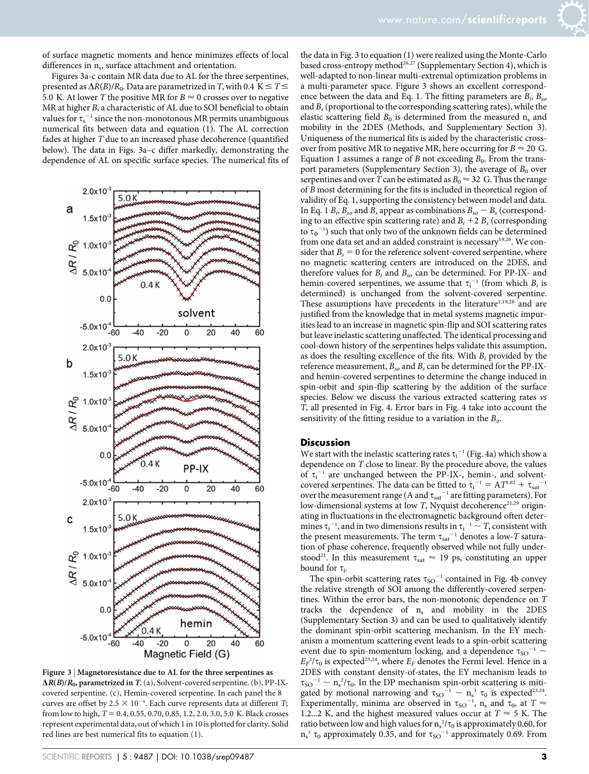of surface magnetic moments and hence minimizes effects of local differences in  $n_s$ , surface attachment and orientation.

Figures 3a-c contain MR data due to AL for the three serpentines, presented as  $\Delta R(B)/R_0$ . Data are parametrized in T, with 0.4 K  $\leq T \leq$ 5.0 K. At lower T the positive MR for  $B \approx 0$  crosses over to negative MR at higher B, a characteristic of AL due to SOI beneficial to obtain values for  $\tau_s^{-1}$  since the non-monotonous MR permits unambiguous numerical fits between data and equation (1). The AL correction fades at higher T due to an increased phase decoherence (quantified below). The data in Figs. 3a–c differ markedly, demonstrating the dependence of AL on specific surface species. The numerical fits of



Figure 3 | Magnetoresistance due to AL for the three serpentines as  $\Delta R(B)/R_0$ , parametrized in T. (a), Solvent-covered serpentine. (b), PP-IXcovered serpentine. (c), Hemin-covered serpentine. In each panel the 8 curves are offset by 2.5  $\times$  10<sup>-4</sup>. Each curve represents data at different *T*; from low to high,  $T = 0.4, 0.55, 0.70, 0.85, 1.2, 2.0, 3.0, 5.0$  K. Black crosses represent experimental data, out of which 1 in 10 is plotted for clarity. Solid red lines are best numerical fits to equation (1).

the data in Fig. 3 to equation (1) were realized using the Monte-Carlo based cross-entropy method<sup>26,27</sup> (Supplementary Section 4), which is well-adapted to non-linear multi-extremal optimization problems in a multi-parameter space. Figure 3 shows an excellent correspondence between the data and Eq. 1. The fitting parameters are  $B_i$ ,  $B_{so}$ and  $B_s$  (proportional to the corresponding scattering rates), while the elastic scattering field  $B_0$  is determined from the measured  $n_s$  and mobility in the 2DES (Methods, and Supplementary Section 3). Uniqueness of the numerical fits is aided by the characteristic crossover from positive MR to negative MR, here occurring for  $B \approx 20$  G. Equation 1 assumes a range of B not exceeding  $B_0$ . From the transport parameters (Supplementary Section 3), the average of  $B_0$  over serpentines and over T can be estimated as  $B_0 \approx 32$  G. Thus the range of B most determining for the fits is included in theoretical region of validity of Eq. 1, supporting the consistency between model and data. In Eq. 1  $B_i$ ,  $B_{so}$  and  $B_s$  appear as combinations  $B_{so} - B_s$  (corresponding to an effective spin scattering rate) and  $B_i + 2 B_s$  (corresponding to  $\tau_{\phi}$ <sup>-1</sup>) such that only two of the unknown fields can be determined from one data set and an added constraint is necessary<sup>19,28</sup>. We consider that  $B_s = 0$  for the reference solvent-covered serpentine, where no magnetic scattering centers are introduced on the 2DES, and therefore values for  $B_i$  and  $B_{so}$  can be determined. For PP-IX- and hemin-covered serpentines, we assume that  $\tau_i^{-1}$  (from which  $B_i$  is determined) is unchanged from the solvent-covered serpentine. These assumptions have precedents in the literature<sup>1,19,28</sup> and are justified from the knowledge that in metal systems magnetic impurities lead to an increase in magnetic spin-flip and SOI scattering rates but leave inelastic scattering unaffected. The identical processing and cool-down history of the serpentines helps validate this assumption, as does the resulting excellence of the fits. With  $B_i$  provided by the reference measurement,  $B_{so}$  and  $B_s$  can be determined for the PP-IXand hemin-covered serpentines to determine the change induced in spin-orbit and spin-flip scattering by the addition of the surface species. Below we discuss the various extracted scattering rates vs T, all presented in Fig. 4. Error bars in Fig. 4 take into account the sensitivity of the fitting residue to a variation in the  $B_{\alpha}$ .

#### **Discussion**

We start with the inelastic scattering rates  $\tau_i^{-1}$  (Fig. 4a) which show a dependence on T close to linear. By the procedure above, the values of  $\tau_i^{-1}$  are unchanged between the PP-IX-, hemin-, and solventcovered serpentines. The data can be fitted to  $\tau_i^{-1} = A T^{1.02} + \tau_{sat}^{-1}$ over the measurement range (A and  $\tau_{\text{sat}}^{-1}$  are fitting parameters). For low-dimensional systems at low  $T$ , Nyquist decoherence<sup>21,29</sup> originating in fluctuations in the electromagnetic background often determines  $\tau_i^{-1}$ , and in two dimensions results in  $\tau_i^{-1} \sim T$ , consistent with the present measurements. The term  $\tau_{\rm sat}{}^{-1}$  denotes a low-T saturation of phase coherence, frequently observed while not fully understood<sup>21</sup>. In this measurement  $\tau_{sat} \approx 19$  ps, constituting an upper bound for  $\tau_i$ .

The spin-orbit scattering rates  $\tau_{SO}^{-1}$  contained in Fig. 4b convey the relative strength of SOI among the differently-covered serpentines. Within the error bars, the non-monotonic dependence on T tracks the dependence of  $n_s$  and mobility in the 2DES (Supplementary Section 3) and can be used to qualitatively identify the dominant spin-orbit scattering mechanism. In the EY mechanism a momentum scattering event leads to a spin-orbit scattering event due to spin-momentum locking, and a dependence  $\tau_{SO}^{-1}$  ~  $E_F^2/\tau_0$  is expected<sup>23,24</sup>, where  $E_F$  denotes the Fermi level. Hence in a 2DES with constant density-of-states, the EY mechanism leads to  $\tau_{SO}^{-1} \sim n_s^2/\tau_0$ . In the DP mechanism spin-orbit scattering is mitigated by motional narrowing and  $\tau_{SO}^{-1} \sim n_s^3 \tau_0$  is expected<sup>23,24</sup>. Experimentally, minima are observed in  $\tau_{SO}^{-1}$ , n<sub>s</sub> and  $\tau_0$ , at  $T \approx$ 1.2...2 K, and the highest measured values occur at  $T \approx 5$  K. The ratio between low and high values for  $n_s^2/\tau_0$  is approximately 0.60, for  $n_s^3$   $\tau_0$  approximately 0.35, and for  $\tau_{SO}^{-1}$  approximately 0.69. From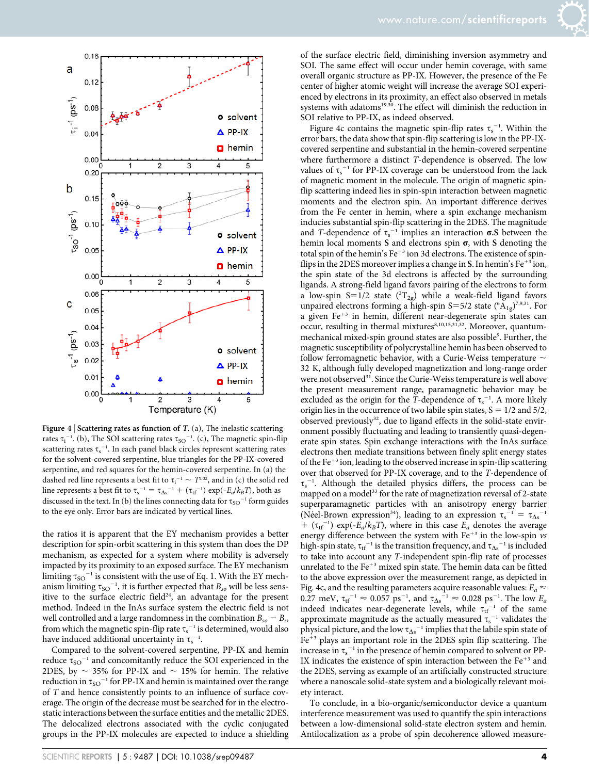

Figure 4 | Scattering rates as function of  $T$ . (a), The inelastic scattering rates  $\tau_i^{-1}$ . (b), The SOI scattering rates  $\tau_{SO}^{-1}$ . (c), The magnetic spin-flip scattering rates  $\tau_{\rm s}^{-1}$ . In each panel black circles represent scattering rates for the solvent-covered serpentine, blue triangles for the PP-IX-covered serpentine, and red squares for the hemin-covered serpentine. In (a) the dashed red line represents a best fit to  $\tau_i^{-1} \sim T^{1.02}$ , and in (c) the solid red line represents a best fit to  $\tau_s^{-1} = \tau_{\Delta s}^{-1} + (\tau_{\text{tf}}^{-1}) \exp(-E_a/k_B T)$ , both as discussed in the text. In (b) the lines connecting data for  $\tau_{SO}^{-1}$  form guides to the eye only. Error bars are indicated by vertical lines.

the ratios it is apparent that the EY mechanism provides a better description for spin-orbit scattering in this system than does the DP mechanism, as expected for a system where mobility is adversely impacted by its proximity to an exposed surface. The EY mechanism limiting  $\tau_{SO}^{-1}$  is consistent with the use of Eq. 1. With the EY mechanism limiting  $\tau_{\text{SO}}^{-1}$ , it is further expected that  $B_{so}$  will be less sensitive to the surface electric field<sup>24</sup>, an advantage for the present method. Indeed in the InAs surface system the electric field is not well controlled and a large randomness in the combination  $B_{so} - B_{ss}$ from which the magnetic spin-flip rate  $\tau_s^{-1}$  is determined, would also have induced additional uncertainty in  $\tau_s^{-1}$ .

Compared to the solvent-covered serpentine, PP-IX and hemin reduce  $\tau_{SO}^{-1}$  and concomitantly reduce the SOI experienced in the 2DES, by  $\sim$  35% for PP-IX and  $\sim$  15% for hemin. The relative reduction in  $\tau_{SO}^{-1}$  for PP-IX and hemin is maintained over the range of T and hence consistently points to an influence of surface coverage. The origin of the decrease must be searched for in the electrostatic interactions between the surface entities and the metallic 2DES. The delocalized electrons associated with the cyclic conjugated groups in the PP-IX molecules are expected to induce a shielding of the surface electric field, diminishing inversion asymmetry and SOI. The same effect will occur under hemin coverage, with same overall organic structure as PP-IX. However, the presence of the Fe center of higher atomic weight will increase the average SOI experienced by electrons in its proximity, an effect also observed in metals systems with adatoms<sup>19,30</sup>. The effect will diminish the reduction in SOI relative to PP-IX, as indeed observed.

Figure 4c contains the magnetic spin-flip rates  $\tau_s^{-1}$ . Within the error bars, the data show that spin-flip scattering is low in the PP-IXcovered serpentine and substantial in the hemin-covered serpentine where furthermore a distinct T-dependence is observed. The low values of  $\tau_s^{-1}$  for PP-IX coverage can be understood from the lack of magnetic moment in the molecule. The origin of magnetic spinflip scattering indeed lies in spin-spin interaction between magnetic moments and the electron spin. An important difference derives from the Fe center in hemin, where a spin exchange mechanism inducies substantial spin-flip scattering in the 2DES. The magnitude and T-dependence of  $\tau_s^{-1}$  implies an interaction  $\sigma$ .S between the hemin local moments S and electrons spin  $\sigma$ , with S denoting the total spin of the hemin's Fe<sup>+3</sup> ion 3d electrons. The existence of spinflips in the 2DES moreover implies a change in S. In hemin's  $Fe^{+3}$  ion, the spin state of the 3d electrons is affected by the surrounding ligands. A strong-field ligand favors pairing of the electrons to form a low-spin  $S=1/2$  state  $(^{2}T_{2g})$  while a weak-field ligand favors unpaired electrons forming a high-spin S=5/2 state ( ${}^{6}A_{1g}$ )<sup>7,9,31</sup>. For a given Fe<sup>+3</sup> in hemin, different near-degenerate spin states can occur, resulting in thermal mixtures<sup>8,10,15,31,32</sup>. Moreover, quantummechanical mixed-spin ground states are also possible<sup>9</sup>. Further, the magnetic susceptibility of polycrystalline hemin has been observed to follow ferromagnetic behavior, with a Curie-Weiss temperature  $\sim$ 32 K, although fully developed magnetization and long-range order were not observed<sup>31</sup>. Since the Curie-Weiss temperature is well above the present measurement range, paramagnetic behavior may be excluded as the origin for the T-dependence of  $\tau_s^{-1}$ . A more likely origin lies in the occurrence of two labile spin states,  $S = 1/2$  and  $5/2$ , observed previously<sup>32</sup>, due to ligand effects in the solid-state environment possibly fluctuating and leading to transiently quasi-degenerate spin states. Spin exchange interactions with the InAs surface electrons then mediate transitions between finely split energy states of the Fe<sup>+3</sup> ion, leading to the observed increase in spin-flip scattering over that observed for PP-IX coverage, and to the T-dependence of  $\tau_s$ <sup>-1</sup>. Although the detailed physics differs, the process can be mapped on a model<sup>33</sup> for the rate of magnetization reversal of 2-state superparamagnetic particles with an anisotropy energy barrier (Néel-Brown expression<sup>34</sup>), leading to an expression  $\tau_s^{-1} = \tau_{\Delta s}^{-1}$ +  $(\tau_{\text{tf}}^{-1})$  exp(- $E_a/k_BT$ ), where in this case  $E_a$  denotes the average energy difference between the system with  $Fe^{+3}$  in the low-spin vs high-spin state,  $\tau_{\rm tf}^{-1}$  is the transition frequency, and  $\tau_{\Delta s}^{-1}$  is included to take into account any T-independent spin-flip rate of processes unrelated to the  $Fe<sup>+3</sup>$  mixed spin state. The hemin data can be fitted to the above expression over the measurement range, as depicted in Fig. 4c, and the resulting parameters acquire reasonable values:  $E_a \approx$ 0.27 meV,  $\tau_{\text{tf}}^{-1} \approx 0.057 \text{ ps}^{-1}$ , and  $\tau_{\Delta s}^{-1} \approx 0.028 \text{ ps}^{-1}$ . The low  $E_a$ indeed indicates near-degenerate levels, while  $\tau_{tf}^{-1}$  of the same approximate magnitude as the actually measured  $\tau_s^{-1}$  validates the physical picture, and the low  $\tau_{\Delta s}^{\phantom{\Delta s} -1}$  implies that the labile spin state of  $Fe<sup>+3</sup>$  plays an important role in the 2DES spin flip scattering. The increase in  $\tau_s^{-1}$  in the presence of hemin compared to solvent or PP-IX indicates the existence of spin interaction between the  $Fe<sup>+3</sup>$  and the 2DES, serving as example of an artificially constructed structure where a nanoscale solid-state system and a biologically relevant moiety interact.

To conclude, in a bio-organic/semiconductor device a quantum interference measurement was used to quantify the spin interactions between a low-dimensional solid-state electron system and hemin. Antilocalization as a probe of spin decoherence allowed measure